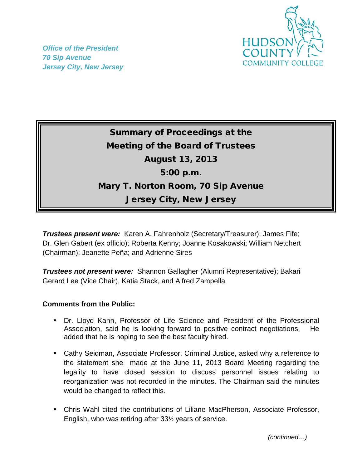

*Office of the President 70 Sip Avenue Jersey City, New Jersey*

## Summary of Proceedings at the Meeting of the Board of Trustees August 13, 2013 5:00 p.m. Mary T. Norton Room, 70 Sip Avenue Jersey City, New Jersey

*Trustees present were:* Karen A. Fahrenholz (Secretary/Treasurer); James Fife; Dr. Glen Gabert (ex officio); Roberta Kenny; Joanne Kosakowski; William Netchert (Chairman); Jeanette Peña; and Adrienne Sires

*Trustees not present were:* Shannon Gallagher (Alumni Representative); Bakari Gerard Lee (Vice Chair), Katia Stack, and Alfred Zampella

## **Comments from the Public:**

- Dr. Lloyd Kahn, Professor of Life Science and President of the Professional Association, said he is looking forward to positive contract negotiations. He added that he is hoping to see the best faculty hired.
- Cathy Seidman, Associate Professor, Criminal Justice, asked why a reference to the statement she made at the June 11, 2013 Board Meeting regarding the legality to have closed session to discuss personnel issues relating to reorganization was not recorded in the minutes. The Chairman said the minutes would be changed to reflect this.
- Chris Wahl cited the contributions of Liliane MacPherson, Associate Professor, English, who was retiring after 33½ years of service.

 *(continued…)*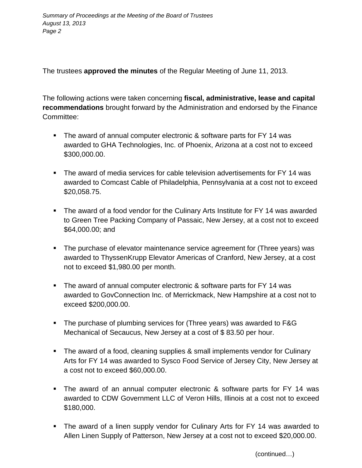The trustees **approved the minutes** of the Regular Meeting of June 11, 2013.

The following actions were taken concerning **fiscal, administrative, lease and capital recommendations** brought forward by the Administration and endorsed by the Finance Committee:

- The award of annual computer electronic & software parts for FY 14 was awarded to GHA Technologies, Inc. of Phoenix, Arizona at a cost not to exceed \$300,000.00.
- The award of media services for cable television advertisements for FY 14 was awarded to Comcast Cable of Philadelphia, Pennsylvania at a cost not to exceed \$20,058.75.
- The award of a food vendor for the Culinary Arts Institute for FY 14 was awarded to Green Tree Packing Company of Passaic, New Jersey, at a cost not to exceed \$64,000.00; and
- The purchase of elevator maintenance service agreement for (Three years) was awarded to ThyssenKrupp Elevator Americas of Cranford, New Jersey, at a cost not to exceed \$1,980.00 per month.
- **The award of annual computer electronic & software parts for FY 14 was** awarded to GovConnection Inc. of Merrickmack, New Hampshire at a cost not to exceed \$200,000.00.
- The purchase of plumbing services for (Three years) was awarded to F&G Mechanical of Secaucus, New Jersey at a cost of \$ 83.50 per hour.
- The award of a food, cleaning supplies & small implements vendor for Culinary Arts for FY 14 was awarded to Sysco Food Service of Jersey City, New Jersey at a cost not to exceed \$60,000.00.
- The award of an annual computer electronic & software parts for FY 14 was awarded to CDW Government LLC of Veron Hills, Illinois at a cost not to exceed \$180,000.
- The award of a linen supply vendor for Culinary Arts for FY 14 was awarded to Allen Linen Supply of Patterson, New Jersey at a cost not to exceed \$20,000.00.

(continued…)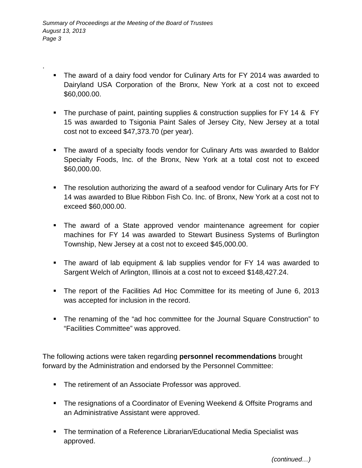.

- The award of a dairy food vendor for Culinary Arts for FY 2014 was awarded to Dairyland USA Corporation of the Bronx, New York at a cost not to exceed \$60,000.00.
- The purchase of paint, painting supplies & construction supplies for FY 14 & FY 15 was awarded to Tsigonia Paint Sales of Jersey City, New Jersey at a total cost not to exceed \$47,373.70 (per year).
- The award of a specialty foods vendor for Culinary Arts was awarded to Baldor Specialty Foods, Inc. of the Bronx, New York at a total cost not to exceed \$60,000.00.
- The resolution authorizing the award of a seafood vendor for Culinary Arts for FY 14 was awarded to Blue Ribbon Fish Co. Inc. of Bronx, New York at a cost not to exceed \$60,000.00.
- The award of a State approved vendor maintenance agreement for copier machines for FY 14 was awarded to Stewart Business Systems of Burlington Township, New Jersey at a cost not to exceed \$45,000.00.
- The award of lab equipment & lab supplies vendor for FY 14 was awarded to Sargent Welch of Arlington, Illinois at a cost not to exceed \$148,427.24.
- The report of the Facilities Ad Hoc Committee for its meeting of June 6, 2013 was accepted for inclusion in the record.
- The renaming of the "ad hoc committee for the Journal Square Construction" to "Facilities Committee" was approved.

The following actions were taken regarding **personnel recommendations** brought forward by the Administration and endorsed by the Personnel Committee:

- **The retirement of an Associate Professor was approved.**
- The resignations of a Coordinator of Evening Weekend & Offsite Programs and an Administrative Assistant were approved.
- **The termination of a Reference Librarian/Educational Media Specialist was** approved.